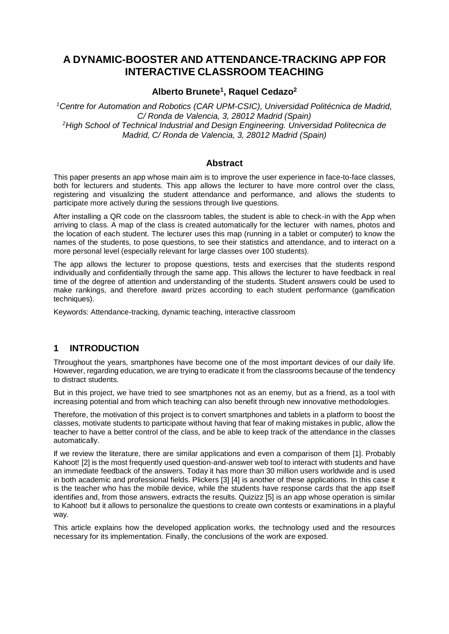# **A DYNAMIC-BOOSTER AND ATTENDANCE-TRACKING APP FOR INTERACTIVE CLASSROOM TEACHING**

#### **Alberto Brunete<sup>1</sup> , Raquel Cedazo<sup>2</sup>**

*<sup>1</sup>Centre for Automation and Robotics (CAR UPM-CSIC), Universidad Politécnica de Madrid, C/ Ronda de Valencia, 3, 28012 Madrid (Spain) <sup>2</sup>High School of Technical Industrial and Design Engineering. Universidad Politecnica de Madrid, C/ Ronda de Valencia, 3, 28012 Madrid (Spain)*

#### **Abstract**

This paper presents an app whose main aim is to improve the user experience in face-to-face classes, both for lecturers and students. This app allows the lecturer to have more control over the class, registering and visualizing the student attendance and performance, and allows the students to participate more actively during the sessions through live questions.

After installing a QR code on the classroom tables, the student is able to check-in with the App when arriving to class. A map of the class is created automatically for the lecturer with names, photos and the location of each student. The lecturer uses this map (running in a tablet or computer) to know the names of the students, to pose questions, to see their statistics and attendance, and to interact on a more personal level (especially relevant for large classes over 100 students).

The app allows the lecturer to propose questions, tests and exercises that the students respond individually and confidentially through the same app. This allows the lecturer to have feedback in real time of the degree of attention and understanding of the students. Student answers could be used to make rankings, and therefore award prizes according to each student performance (gamification techniques).

Keywords: Attendance-tracking, dynamic teaching, interactive classroom

## **1 INTRODUCTION**

Throughout the years, smartphones have become one of the most important devices of our daily life. However, regarding education, we are trying to eradicate it from the classrooms because of the tendency to distract students.

But in this project, we have tried to see smartphones not as an enemy, but as a friend, as a tool with increasing potential and from which teaching can also benefit through new innovative methodologies.

Therefore, the motivation of this project is to convert smartphones and tablets in a platform to boost the classes, motivate students to participate without having that fear of making mistakes in public, allow the teacher to have a better control of the class, and be able to keep track of the attendance in the classes automatically.

If we review the literature, there are similar applications and even a comparison of them [1]. Probably Kahoot! [2] is the most frequently used question-and-answer web tool to interact with students and have an immediate feedback of the answers. Today it has more than 30 million users worldwide and is used in both academic and professional fields. Plickers [3] [4] is another of these applications. In this case it is the teacher who has the mobile device, while the students have response cards that the app itself identifies and, from those answers, extracts the results. Quizizz [5] is an app whose operation is similar to Kahoot! but it allows to personalize the questions to create own contests or examinations in a playful way.

This article explains how the developed application works, the technology used and the resources necessary for its implementation. Finally, the conclusions of the work are exposed.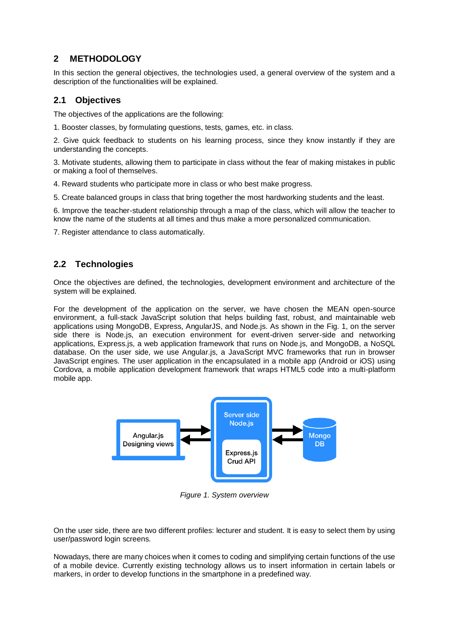## **2 METHODOLOGY**

In this section the general objectives, the technologies used, a general overview of the system and a description of the functionalities will be explained.

## **2.1 Objectives**

The objectives of the applications are the following:

1. Booster classes, by formulating questions, tests, games, etc. in class.

2. Give quick feedback to students on his learning process, since they know instantly if they are understanding the concepts.

3. Motivate students, allowing them to participate in class without the fear of making mistakes in public or making a fool of themselves.

4. Reward students who participate more in class or who best make progress.

5. Create balanced groups in class that bring together the most hardworking students and the least.

6. Improve the teacher-student relationship through a map of the class, which will allow the teacher to know the name of the students at all times and thus make a more personalized communication.

7. Register attendance to class automatically.

## **2.2 Technologies**

Once the objectives are defined, the technologies, development environment and architecture of the system will be explained.

For the development of the application on the server, we have chosen the MEAN open-source environment, a full-stack JavaScript solution that helps building fast, robust, and maintainable web applications using MongoDB, Express, AngularJS, and Node.js. As shown in the Fig. 1, on the server side there is Node.js, an execution environment for event-driven server-side and networking applications, Express.js, a web application framework that runs on Node.js, and MongoDB, a NoSQL database. On the user side, we use Angular.js, a JavaScript MVC frameworks that run in browser JavaScript engines. The user application in the encapsulated in a mobile app (Android or iOS) using Cordova, a mobile application development framework that wraps HTML5 code into a multi-platform mobile app.



*Figure 1. System overview*

On the user side, there are two different profiles: lecturer and student. It is easy to select them by using user/password login screens.

Nowadays, there are many choices when it comes to coding and simplifying certain functions of the use of a mobile device. Currently existing technology allows us to insert information in certain labels or markers, in order to develop functions in the smartphone in a predefined way.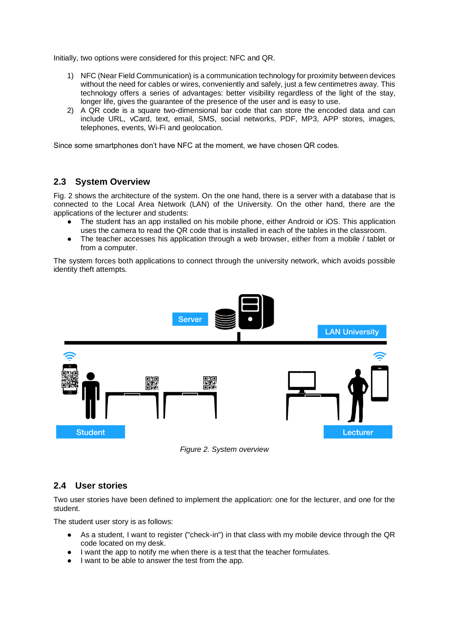Initially, two options were considered for this project: NFC and QR.

- 1) NFC (Near Field Communication) is a communication technology for proximity between devices without the need for cables or wires, conveniently and safely, just a few centimetres away. This technology offers a series of advantages: better visibility regardless of the light of the stay, longer life, gives the guarantee of the presence of the user and is easy to use.
- 2) A QR code is a square two-dimensional bar code that can store the encoded data and can include URL, vCard, text, email, SMS, social networks, PDF, MP3, APP stores, images, telephones, events, Wi-Fi and geolocation.

Since some smartphones don't have NFC at the moment, we have chosen QR codes.

## **2.3 System Overview**

Fig. 2 shows the architecture of the system. On the one hand, there is a server with a database that is connected to the Local Area Network (LAN) of the University. On the other hand, there are the applications of the lecturer and students:

- The student has an app installed on his mobile phone, either Android or iOS. This application uses the camera to read the QR code that is installed in each of the tables in the classroom.
- The teacher accesses his application through a web browser, either from a mobile / tablet or from a computer.

The system forces both applications to connect through the university network, which avoids possible identity theft attempts.



*Figure 2. System overview*

#### **2.4 User stories**

Two user stories have been defined to implement the application: one for the lecturer, and one for the student.

The student user story is as follows:

- As a student, I want to register ("check-in") in that class with my mobile device through the QR code located on my desk.
- I want the app to notify me when there is a test that the teacher formulates.
- I want to be able to answer the test from the app.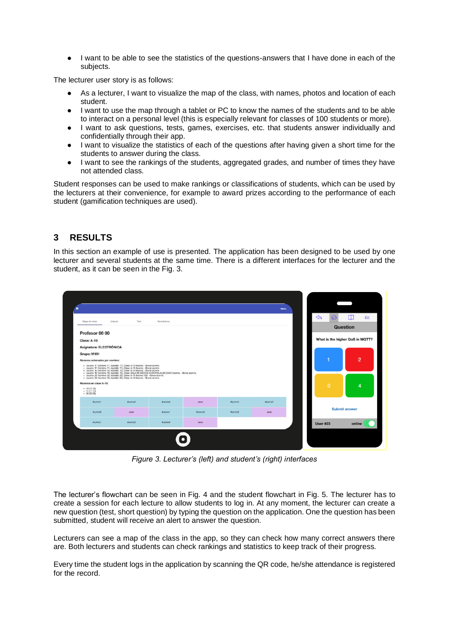● I want to be able to see the statistics of the questions-answers that I have done in each of the subjects.

The lecturer user story is as follows:

- As a lecturer. I want to visualize the map of the class, with names, photos and location of each student.
- I want to use the map through a tablet or PC to know the names of the students and to be able to interact on a personal level (this is especially relevant for classes of 100 students or more).
- I want to ask questions, tests, games, exercises, etc. that students answer individually and confidentially through their app.
- I want to visualize the statistics of each of the questions after having given a short time for the students to answer during the class.
- I want to see the rankings of the students, aggregated grades, and number of times they have not attended class.

Student responses can be used to make rankings or classifications of students, which can be used by the lecturers at their convenience, for example to award prizes according to the performance of each student (gamification techniques are used).

## **3 RESULTS**

In this section an example of use is presented. The application has been designed to be used by one lecturer and several students at the same time. There is a different interfaces for the lecturer and the student, as it can be seen in the Fig. 3.



*Figure 3. Lecturer's (left) and student's (right) interfaces*

The lecturer's flowchart can be seen in Fig. 4 and the student flowchart in Fig. 5. The lecturer has to create a session for each lecture to allow students to log in. At any moment, the lecturer can create a new question (test, short question) by typing the question on the application. One the question has been submitted, student will receive an alert to answer the question.

Lecturers can see a map of the class in the app, so they can check how many correct answers there are. Both lecturers and students can check rankings and statistics to keep track of their progress.

Every time the student logs in the application by scanning the QR code, he/she attendance is registered for the record.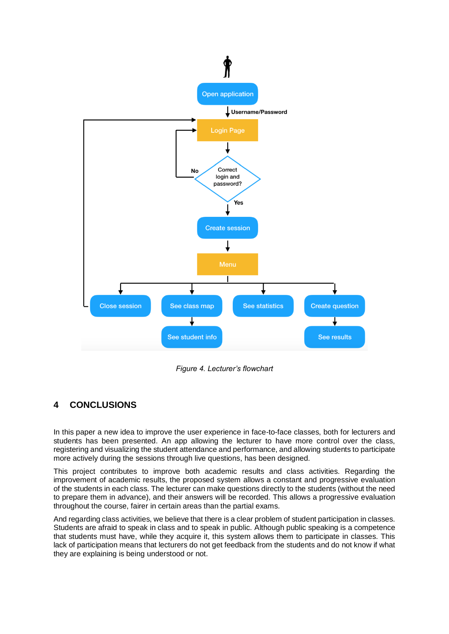

*Figure 4. Lecturer's flowchart*

## **4 CONCLUSIONS**

In this paper a new idea to improve the user experience in face-to-face classes, both for lecturers and students has been presented. An app allowing the lecturer to have more control over the class, registering and visualizing the student attendance and performance, and allowing students to participate more actively during the sessions through live questions, has been designed.

This project contributes to improve both academic results and class activities. Regarding the improvement of academic results, the proposed system allows a constant and progressive evaluation of the students in each class. The lecturer can make questions directly to the students (without the need to prepare them in advance), and their answers will be recorded. This allows a progressive evaluation throughout the course, fairer in certain areas than the partial exams.

And regarding class activities, we believe that there is a clear problem of student participation in classes. Students are afraid to speak in class and to speak in public. Although public speaking is a competence that students must have, while they acquire it, this system allows them to participate in classes. This lack of participation means that lecturers do not get feedback from the students and do not know if what they are explaining is being understood or not.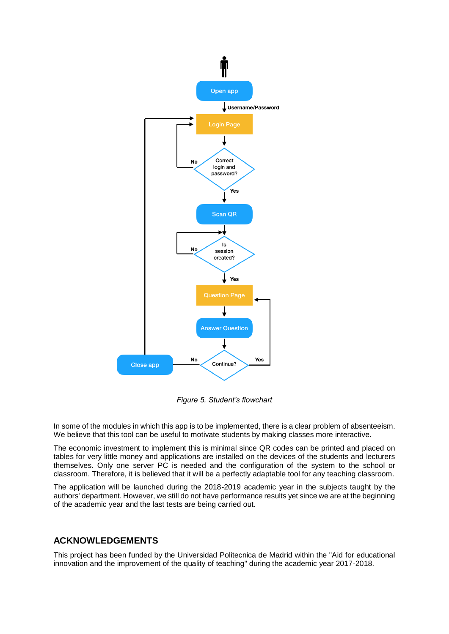

*Figure 5. Student's flowchart*

In some of the modules in which this app is to be implemented, there is a clear problem of absenteeism. We believe that this tool can be useful to motivate students by making classes more interactive.

The economic investment to implement this is minimal since QR codes can be printed and placed on tables for very little money and applications are installed on the devices of the students and lecturers themselves. Only one server PC is needed and the configuration of the system to the school or classroom. Therefore, it is believed that it will be a perfectly adaptable tool for any teaching classroom.

The application will be launched during the 2018-2019 academic year in the subjects taught by the authors' department. However, we still do not have performance results yet since we are at the beginning of the academic year and the last tests are being carried out.

## **ACKNOWLEDGEMENTS**

This project has been funded by the Universidad Politecnica de Madrid within the "Aid for educational innovation and the improvement of the quality of teaching" during the academic year 2017-2018.